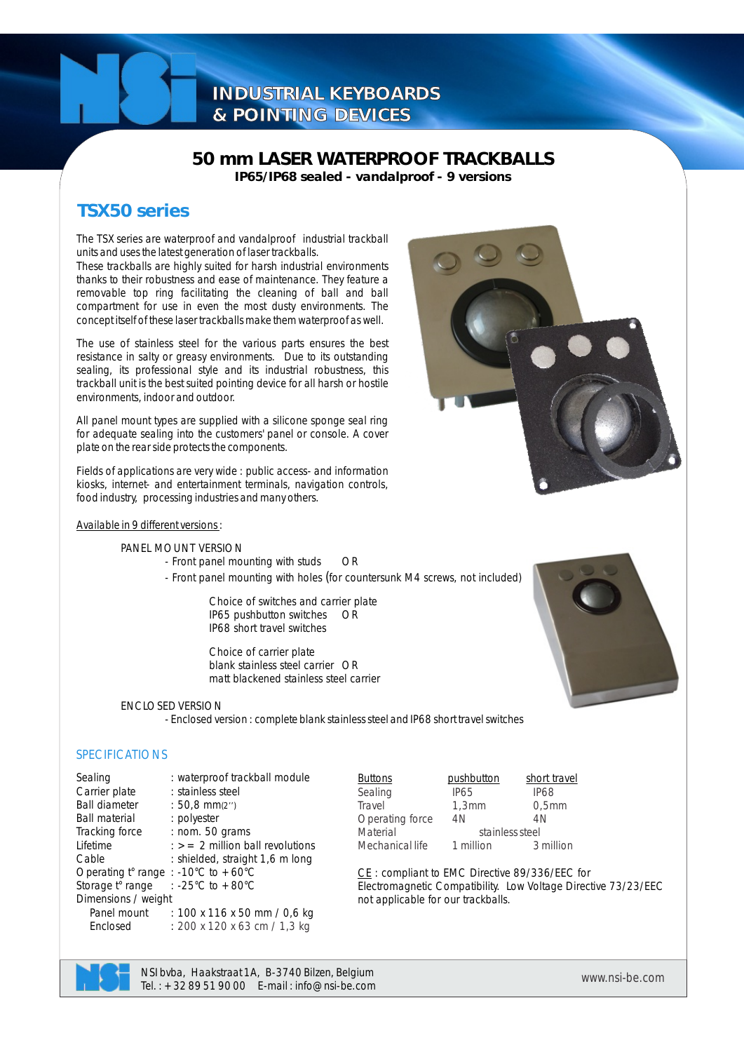# **INDUSTRIAL KEYBOARDS & POINTING DEVICES**

## **50 mm LASER WATERPROOF TRACKBALLS IP65/IP68 sealed - vandalproof - 9 versions**

# **TSX50 series**

The TSX series are waterproof and vandalproof industrial trackball units and uses the latest generation of laser trackballs.

These trackballs are highly suited for harsh industrial environments thanks to their robustness and ease of maintenance. They feature a removable top ring facilitating the cleaning of ball and ball compartment for use in even the most dusty environments. The concept itself of these laser trackballs make them waterproof as well.

The use of stainless steel for the various parts ensures the best resistance in salty or greasy environments. Due to its outstanding sealing, its professional style and its industrial robustness, this trackball unit is the best suited pointing device for all harsh or hostile environments, indoor and outdoor.

All panel mount types are supplied with a silicone sponge seal ring for adequate sealing into the customers' panel or console. A cover plate on the rear side protects the components.

Fields of applications are very wide : public access- and information kiosks, internet- and entertainment terminals, navigation controls, food industry, processing industries and many others.

#### Available in 9 different versions :

PANEL MOUNT VERSION

- Front panel mounting with studs OR
- Front panel mounting with holes (for countersunk M4 screws, not included)

Choice of switches and carrier plate IP65 pushbutton switches OR IP68 short travel switches

Choice of carrier plate blank stainless steel carrier OR matt blackened stainless steel carrier

#### ENCLOSED VERSION

- Enclosed version : complete blank stainless steel and IP68 short travel switches

### **SPECIFICATIONS**

| Sealing                             | : waterproof trackball module               | <b>Buttons</b> |
|-------------------------------------|---------------------------------------------|----------------|
| Carrier plate                       | : stainless steel                           | Sealing        |
| <b>Ball diameter</b>                | : 50,8 $mm(2')$                             | Travel         |
| <b>Ball material</b>                | : polyester                                 | Operating      |
| Tracking force                      | : nom. 50 grams                             | Material       |
| Lifetime                            | $\epsilon$ $>$ = 2 million ball revolutions | Mechanica      |
| Cable                               | : shielded, straight 1,6 m long             |                |
| Operating t° range : -10°C to +60°C |                                             | CE:comp        |
| Storage t° range                    | : -25°C to $+80^{\circ}$ C                  | Electroma      |
| Dimensions / weight                 |                                             | not applica    |
| Panel mount                         | : 100 x 116 x 50 mm / 0,6 kg                |                |
| Enclosed                            | : 200 x 120 x 63 cm / 1,3 kg                |                |
|                                     |                                             |                |



pushbutton short travel  $IP65$  IP68<br>1.3mm 0.5mm  $\begin{array}{ccc} 1,3\text{mm} & 0,5 \end{array}$ <br>  $\begin{array}{ccc} 4\text{N} & 4\text{N} \end{array}$ 

oliant to EMC Directive 89/336/EEC for gnetic Compatibility. Low Voltage Directive 73/23/EEC able for our trackballs.



*www.nsi-be.com* NSI bvba, Haakstraat 1A, B-3740 Bilzen, Belgium Tel. : +32 89 51 90 00 E-mail : info@nsi-be.com

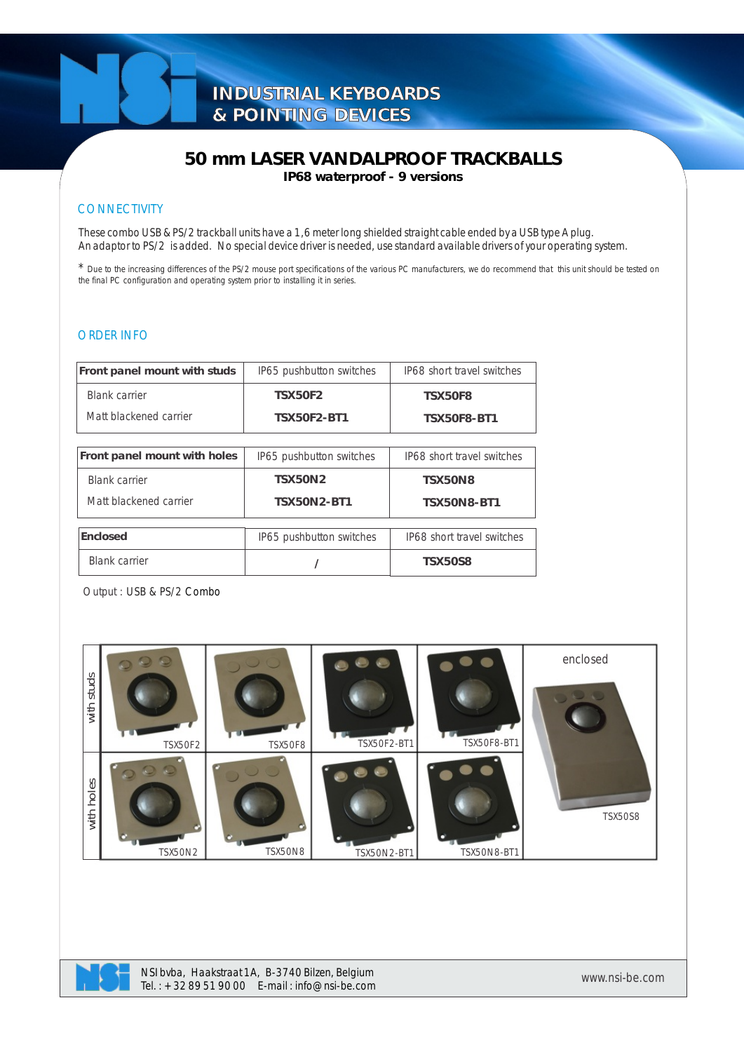## **50 mm LASER VANDALPROOF TRACKBALLS IP68 waterproof - 9 versions**

### **CONNECTIVITY**

These combo USB & PS/2 trackball units have a 1,6 meter long shielded straight cable ended by a USB type A plug. An adaptor to PS/2 is added. No special device driver is needed, use standard available drivers of your operating system.

\* Due to the increasing differences of the PS/2 mouse port specifications of the various PC manufacturers, we do recommend that this unit should be tested on the final PC configuration and operating system prior to installing it in series.

### ORDER INFO

| Front panel mount with studs | IP65 pushbutton switches | IP68 short travel switches |  |  |
|------------------------------|--------------------------|----------------------------|--|--|
| Blank carrier                | <b>TSX50F2</b>           | <b>TSX50F8</b>             |  |  |
| Matt blackened carrier       | <b>TSX50F2-BT1</b>       | <b>TSX50F8-BT1</b>         |  |  |
|                              |                          |                            |  |  |
| Front panel mount with holes | IP65 pushbutton switches | IP68 short travel switches |  |  |
| <b>Blank carrier</b>         | <b>TSX50N2</b>           | <b>TSX50N8</b>             |  |  |
| Matt blackened carrier       | <b>TSX50N2-BT1</b>       | <b>TSX50N8-BT1</b>         |  |  |
|                              |                          |                            |  |  |
| Enclosed                     | IP65 pushbutton switches | IP68 short travel switches |  |  |
| <b>Blank carrier</b>         |                          | <b>TSX50S8</b>             |  |  |

Output : USB & PS/2 Combo



NSI bvba, Haakstraat 1A, B-3740 Bilzen, Belgium Tel. : +32 89 51 90 00 E-mail : info@nsi-be.com *www.nsi-be.com*